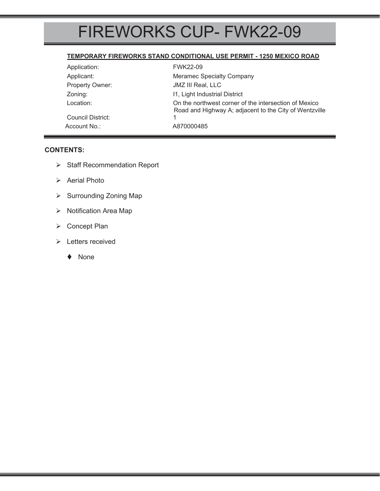# FIREWORKS CUP- FWK22-09

### **TEMPORARY FIREWORKS STAND CONDITIONAL USE PERMIT - 1250 MEXICO ROAD**

| Application:      | <b>FWK22-09</b>                                                                                                 |  |
|-------------------|-----------------------------------------------------------------------------------------------------------------|--|
| Applicant:        | <b>Meramec Specialty Company</b>                                                                                |  |
| Property Owner:   | JMZ III Real, LLC                                                                                               |  |
| Zoning:           | 11, Light Industrial District                                                                                   |  |
| Location:         | On the northwest corner of the intersection of Mexico<br>Road and Highway A; adjacent to the City of Wentzville |  |
| Council District: |                                                                                                                 |  |
| Account No.:      | A870000485                                                                                                      |  |

### **CONTENTS:**

- ¾ Staff Recommendation Report
- ¾ Aerial Photo
- ▶ Surrounding Zoning Map
- ¾ Notification Area Map
- ¾ Concept Plan
- ¾ Letters received
	- ◆ None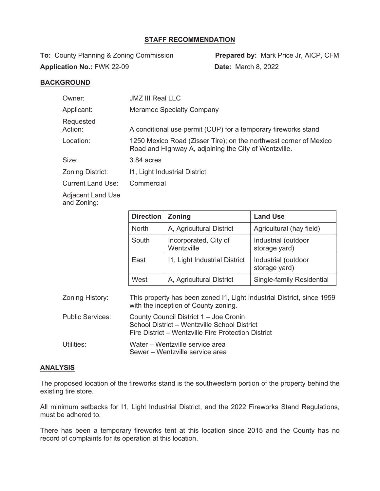#### **STAFF RECOMMENDATION**

**To:** County Planning & Zoning Commission **Prepared by:** Mark Price Jr, AICP, CFM **Application No.:** FWK 22-09 **Date:** March 8, 2022

#### **BACKGROUND**

| Owner:                                 | <b>JMZ III Real LLC</b>                                                                                                    |  |  |
|----------------------------------------|----------------------------------------------------------------------------------------------------------------------------|--|--|
| Applicant:                             | <b>Meramec Specialty Company</b>                                                                                           |  |  |
| Requested<br>Action:                   | A conditional use permit (CUP) for a temporary fireworks stand                                                             |  |  |
| Location:                              | 1250 Mexico Road (Zisser Tire); on the northwest corner of Mexico<br>Road and Highway A, adjoining the City of Wentzville. |  |  |
| Size:                                  | 3.84 acres                                                                                                                 |  |  |
| Zoning District:                       | 11, Light Industrial District                                                                                              |  |  |
| <b>Current Land Use:</b>               | Commercial                                                                                                                 |  |  |
| المتحال المتعمل اللهيم متحاوله المراكز |                                                                                                                            |  |  |

Adjacent Land Use and Zoning:

|                         | <b>Direction</b>                                                                                                                              | <b>Zoning</b>                       | <b>Land Use</b>                      |  |
|-------------------------|-----------------------------------------------------------------------------------------------------------------------------------------------|-------------------------------------|--------------------------------------|--|
|                         | <b>North</b>                                                                                                                                  | A, Agricultural District            | Agricultural (hay field)             |  |
|                         | South                                                                                                                                         | Incorporated, City of<br>Wentzville | Industrial (outdoor<br>storage yard) |  |
|                         | East                                                                                                                                          | 11, Light Industrial District       | Industrial (outdoor<br>storage yard) |  |
|                         | West                                                                                                                                          | A, Agricultural District            | Single-family Residential            |  |
| Zoning History:         | This property has been zoned 11, Light Industrial District, since 1959<br>with the inception of County zoning.                                |                                     |                                      |  |
| <b>Public Services:</b> | County Council District 1 - Joe Cronin<br>School District - Wentzville School District<br>Fire District – Wentzville Fire Protection District |                                     |                                      |  |

Utilities: Water – Wentzville service area Sewer – Wentzville service area

### **ANALYSIS**

The proposed location of the fireworks stand is the southwestern portion of the property behind the existing tire store.

All minimum setbacks for I1, Light Industrial District, and the 2022 Fireworks Stand Regulations, must be adhered to.

There has been a temporary fireworks tent at this location since 2015 and the County has no record of complaints for its operation at this location.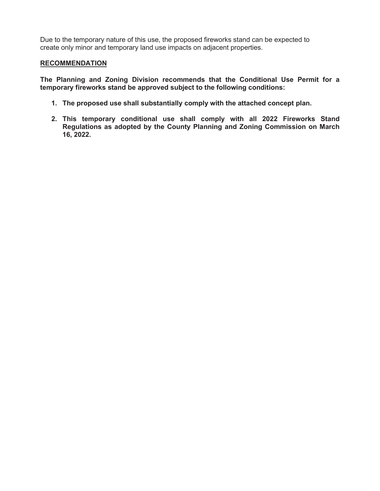Due to the temporary nature of this use, the proposed fireworks stand can be expected to create only minor and temporary land use impacts on adjacent properties.

#### **RECOMMENDATION**

**The Planning and Zoning Division recommends that the Conditional Use Permit for a temporary fireworks stand be approved subject to the following conditions:** 

- **1. The proposed use shall substantially comply with the attached concept plan.**
- **2. This temporary conditional use shall comply with all 2022 Fireworks Stand Regulations as adopted by the County Planning and Zoning Commission on March 16, 2022.**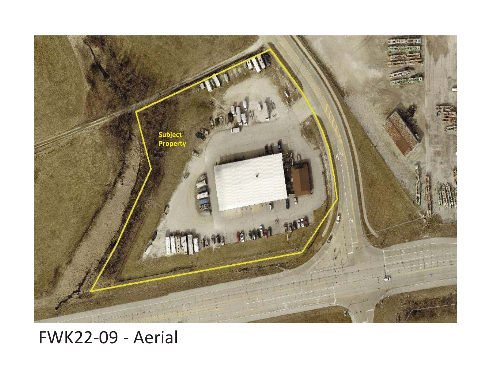

## FWK22-09 - Aerial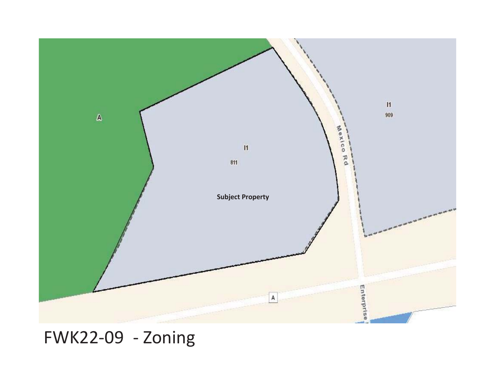

FWK22-09 - Zoning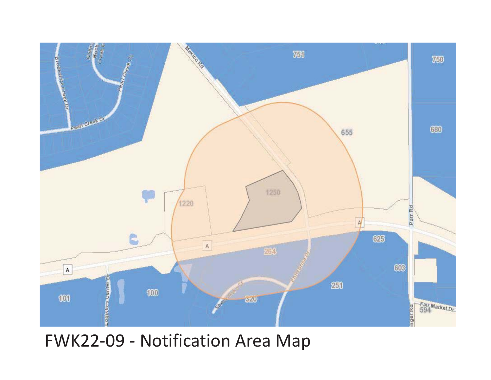

## FWK22-09 - Notification Area Map